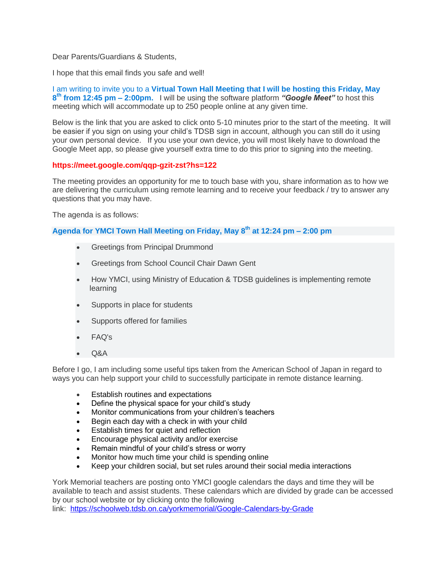Dear Parents/Guardians & Students,

I hope that this email finds you safe and well!

I am writing to invite you to a **Virtual Town Hall Meeting that I will be hosting this Friday, May 8 th from 12:45 pm – 2:00pm.** I will be using the software platform *"Google Meet"* to host this meeting which will accommodate up to 250 people online at any given time.

Below is the link that you are asked to click onto 5-10 minutes prior to the start of the meeting. It will be easier if you sign on using your child's TDSB sign in account, although you can still do it using your own personal device. If you use your own device, you will most likely have to download the Google Meet app, so please give yourself extra time to do this prior to signing into the meeting.

## **https://meet.google.com/qqp-gzit-zst?hs=122**

The meeting provides an opportunity for me to touch base with you, share information as to how we are delivering the curriculum using remote learning and to receive your feedback / try to answer any questions that you may have.

The agenda is as follows:

**Agenda for YMCI Town Hall Meeting on Friday, May 8 th at 12:24 pm – 2:00 pm**

- Greetings from Principal Drummond
- Greetings from School Council Chair Dawn Gent
- How YMCI, using Ministry of Education & TDSB guidelines is implementing remote learning
- Supports in place for students
- Supports offered for families
- FAQ's
- Q&A

Before I go, I am including some useful tips taken from the American School of Japan in regard to ways you can help support your child to successfully participate in remote distance learning.

- Establish routines and expectations
- Define the physical space for your child's study
- Monitor communications from your children's teachers
- Begin each day with a check in with your child
- Establish times for quiet and reflection
- Encourage physical activity and/or exercise
- Remain mindful of your child's stress or worry
- Monitor how much time your child is spending online
- Keep your children social, but set rules around their social media interactions

York Memorial teachers are posting onto YMCI google calendars the days and time they will be available to teach and assist students. These calendars which are divided by grade can be accessed by our school website or by clicking onto the following

link: <https://schoolweb.tdsb.on.ca/yorkmemorial/Google-Calendars-by-Grade>